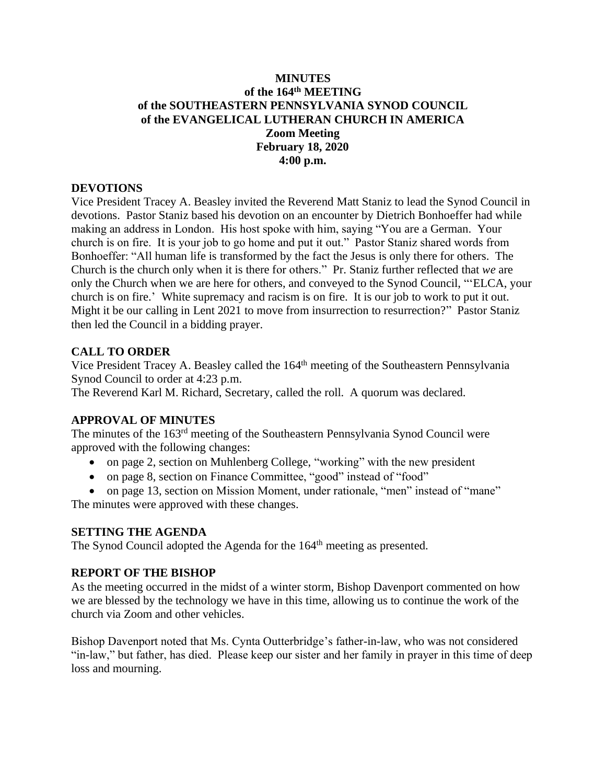## **MINUTES of the 164th MEETING of the SOUTHEASTERN PENNSYLVANIA SYNOD COUNCIL of the EVANGELICAL LUTHERAN CHURCH IN AMERICA Zoom Meeting February 18, 2020 4:00 p.m.**

## **DEVOTIONS**

Vice President Tracey A. Beasley invited the Reverend Matt Staniz to lead the Synod Council in devotions. Pastor Staniz based his devotion on an encounter by Dietrich Bonhoeffer had while making an address in London. His host spoke with him, saying "You are a German. Your church is on fire. It is your job to go home and put it out." Pastor Staniz shared words from Bonhoeffer: "All human life is transformed by the fact the Jesus is only there for others. The Church is the church only when it is there for others." Pr. Staniz further reflected that *we* are only the Church when we are here for others, and conveyed to the Synod Council, "'ELCA, your church is on fire.' White supremacy and racism is on fire. It is our job to work to put it out. Might it be our calling in Lent 2021 to move from insurrection to resurrection?" Pastor Staniz then led the Council in a bidding prayer.

## **CALL TO ORDER**

Vice President Tracey A. Beasley called the 164<sup>th</sup> meeting of the Southeastern Pennsylvania Synod Council to order at 4:23 p.m.

The Reverend Karl M. Richard, Secretary, called the roll. A quorum was declared.

## **APPROVAL OF MINUTES**

The minutes of the 163<sup>rd</sup> meeting of the Southeastern Pennsylvania Synod Council were approved with the following changes:

- on page 2, section on Muhlenberg College, "working" with the new president
- on page 8, section on Finance Committee, "good" instead of "food"
- on page 13, section on Mission Moment, under rationale, "men" instead of "mane"

The minutes were approved with these changes.

## **SETTING THE AGENDA**

The Synod Council adopted the Agenda for the 164<sup>th</sup> meeting as presented.

## **REPORT OF THE BISHOP**

As the meeting occurred in the midst of a winter storm, Bishop Davenport commented on how we are blessed by the technology we have in this time, allowing us to continue the work of the church via Zoom and other vehicles.

Bishop Davenport noted that Ms. Cynta Outterbridge's father-in-law, who was not considered "in-law," but father, has died. Please keep our sister and her family in prayer in this time of deep loss and mourning.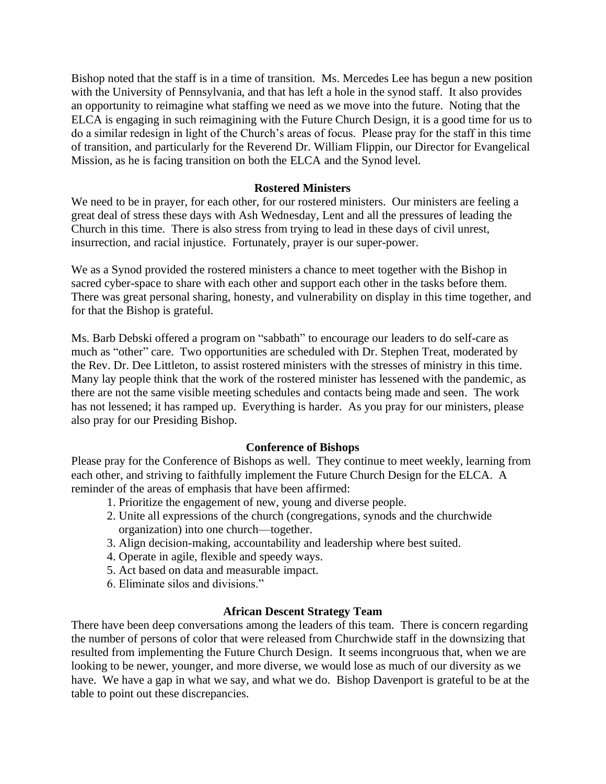Bishop noted that the staff is in a time of transition. Ms. Mercedes Lee has begun a new position with the University of Pennsylvania, and that has left a hole in the synod staff. It also provides an opportunity to reimagine what staffing we need as we move into the future. Noting that the ELCA is engaging in such reimagining with the Future Church Design, it is a good time for us to do a similar redesign in light of the Church's areas of focus. Please pray for the staff in this time of transition, and particularly for the Reverend Dr. William Flippin, our Director for Evangelical Mission, as he is facing transition on both the ELCA and the Synod level.

#### **Rostered Ministers**

We need to be in prayer, for each other, for our rostered ministers. Our ministers are feeling a great deal of stress these days with Ash Wednesday, Lent and all the pressures of leading the Church in this time. There is also stress from trying to lead in these days of civil unrest, insurrection, and racial injustice. Fortunately, prayer is our super-power.

We as a Synod provided the rostered ministers a chance to meet together with the Bishop in sacred cyber-space to share with each other and support each other in the tasks before them. There was great personal sharing, honesty, and vulnerability on display in this time together, and for that the Bishop is grateful.

Ms. Barb Debski offered a program on "sabbath" to encourage our leaders to do self-care as much as "other" care. Two opportunities are scheduled with Dr. Stephen Treat, moderated by the Rev. Dr. Dee Littleton, to assist rostered ministers with the stresses of ministry in this time. Many lay people think that the work of the rostered minister has lessened with the pandemic, as there are not the same visible meeting schedules and contacts being made and seen. The work has not lessened; it has ramped up. Everything is harder. As you pray for our ministers, please also pray for our Presiding Bishop.

#### **Conference of Bishops**

Please pray for the Conference of Bishops as well. They continue to meet weekly, learning from each other, and striving to faithfully implement the Future Church Design for the ELCA. A reminder of the areas of emphasis that have been affirmed:

- 1. Prioritize the engagement of new, young and diverse people.
- 2. Unite all expressions of the church (congregations, synods and the churchwide organization) into one church—together.
- 3. Align decision-making, accountability and leadership where best suited.
- 4. Operate in agile, flexible and speedy ways.
- 5. Act based on data and measurable impact.
- 6. Eliminate silos and divisions."

## **African Descent Strategy Team**

There have been deep conversations among the leaders of this team. There is concern regarding the number of persons of color that were released from Churchwide staff in the downsizing that resulted from implementing the Future Church Design. It seems incongruous that, when we are looking to be newer, younger, and more diverse, we would lose as much of our diversity as we have. We have a gap in what we say, and what we do. Bishop Davenport is grateful to be at the table to point out these discrepancies.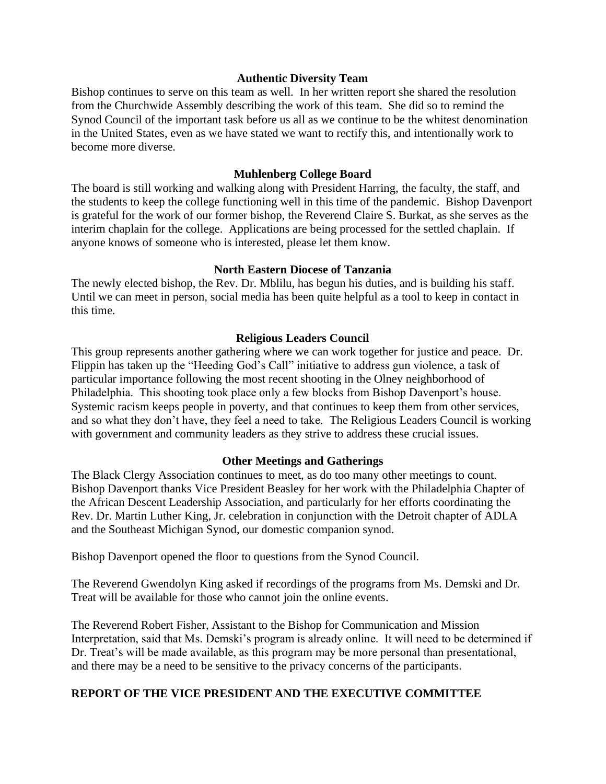#### **Authentic Diversity Team**

Bishop continues to serve on this team as well. In her written report she shared the resolution from the Churchwide Assembly describing the work of this team. She did so to remind the Synod Council of the important task before us all as we continue to be the whitest denomination in the United States, even as we have stated we want to rectify this, and intentionally work to become more diverse.

#### **Muhlenberg College Board**

The board is still working and walking along with President Harring, the faculty, the staff, and the students to keep the college functioning well in this time of the pandemic. Bishop Davenport is grateful for the work of our former bishop, the Reverend Claire S. Burkat, as she serves as the interim chaplain for the college. Applications are being processed for the settled chaplain. If anyone knows of someone who is interested, please let them know.

#### **North Eastern Diocese of Tanzania**

The newly elected bishop, the Rev. Dr. Mblilu, has begun his duties, and is building his staff. Until we can meet in person, social media has been quite helpful as a tool to keep in contact in this time.

## **Religious Leaders Council**

This group represents another gathering where we can work together for justice and peace. Dr. Flippin has taken up the "Heeding God's Call" initiative to address gun violence, a task of particular importance following the most recent shooting in the Olney neighborhood of Philadelphia. This shooting took place only a few blocks from Bishop Davenport's house. Systemic racism keeps people in poverty, and that continues to keep them from other services, and so what they don't have, they feel a need to take. The Religious Leaders Council is working with government and community leaders as they strive to address these crucial issues.

## **Other Meetings and Gatherings**

The Black Clergy Association continues to meet, as do too many other meetings to count. Bishop Davenport thanks Vice President Beasley for her work with the Philadelphia Chapter of the African Descent Leadership Association, and particularly for her efforts coordinating the Rev. Dr. Martin Luther King, Jr. celebration in conjunction with the Detroit chapter of ADLA and the Southeast Michigan Synod, our domestic companion synod.

Bishop Davenport opened the floor to questions from the Synod Council.

The Reverend Gwendolyn King asked if recordings of the programs from Ms. Demski and Dr. Treat will be available for those who cannot join the online events.

The Reverend Robert Fisher, Assistant to the Bishop for Communication and Mission Interpretation, said that Ms. Demski's program is already online. It will need to be determined if Dr. Treat's will be made available, as this program may be more personal than presentational, and there may be a need to be sensitive to the privacy concerns of the participants.

## **REPORT OF THE VICE PRESIDENT AND THE EXECUTIVE COMMITTEE**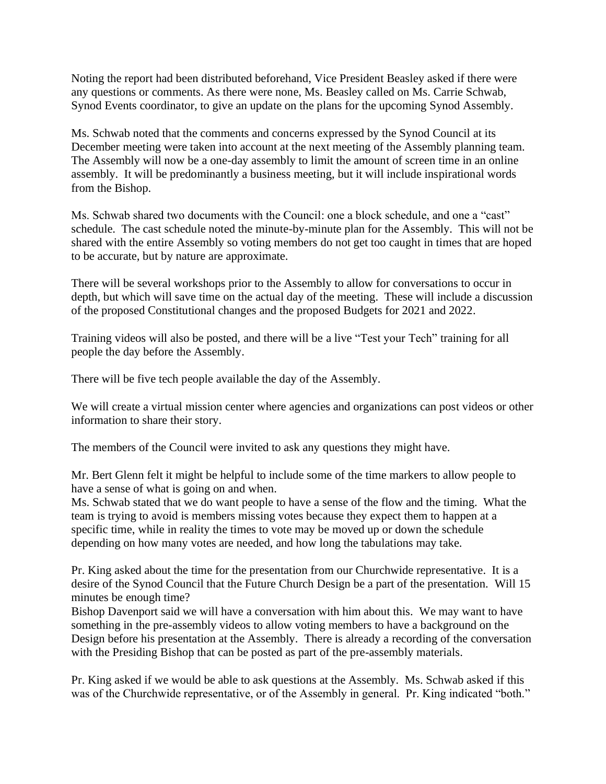Noting the report had been distributed beforehand, Vice President Beasley asked if there were any questions or comments. As there were none, Ms. Beasley called on Ms. Carrie Schwab, Synod Events coordinator, to give an update on the plans for the upcoming Synod Assembly.

Ms. Schwab noted that the comments and concerns expressed by the Synod Council at its December meeting were taken into account at the next meeting of the Assembly planning team. The Assembly will now be a one-day assembly to limit the amount of screen time in an online assembly. It will be predominantly a business meeting, but it will include inspirational words from the Bishop.

Ms. Schwab shared two documents with the Council: one a block schedule, and one a "cast" schedule. The cast schedule noted the minute-by-minute plan for the Assembly. This will not be shared with the entire Assembly so voting members do not get too caught in times that are hoped to be accurate, but by nature are approximate.

There will be several workshops prior to the Assembly to allow for conversations to occur in depth, but which will save time on the actual day of the meeting. These will include a discussion of the proposed Constitutional changes and the proposed Budgets for 2021 and 2022.

Training videos will also be posted, and there will be a live "Test your Tech" training for all people the day before the Assembly.

There will be five tech people available the day of the Assembly.

We will create a virtual mission center where agencies and organizations can post videos or other information to share their story.

The members of the Council were invited to ask any questions they might have.

Mr. Bert Glenn felt it might be helpful to include some of the time markers to allow people to have a sense of what is going on and when.

Ms. Schwab stated that we do want people to have a sense of the flow and the timing. What the team is trying to avoid is members missing votes because they expect them to happen at a specific time, while in reality the times to vote may be moved up or down the schedule depending on how many votes are needed, and how long the tabulations may take.

Pr. King asked about the time for the presentation from our Churchwide representative. It is a desire of the Synod Council that the Future Church Design be a part of the presentation. Will 15 minutes be enough time?

Bishop Davenport said we will have a conversation with him about this. We may want to have something in the pre-assembly videos to allow voting members to have a background on the Design before his presentation at the Assembly. There is already a recording of the conversation with the Presiding Bishop that can be posted as part of the pre-assembly materials.

Pr. King asked if we would be able to ask questions at the Assembly. Ms. Schwab asked if this was of the Churchwide representative, or of the Assembly in general. Pr. King indicated "both."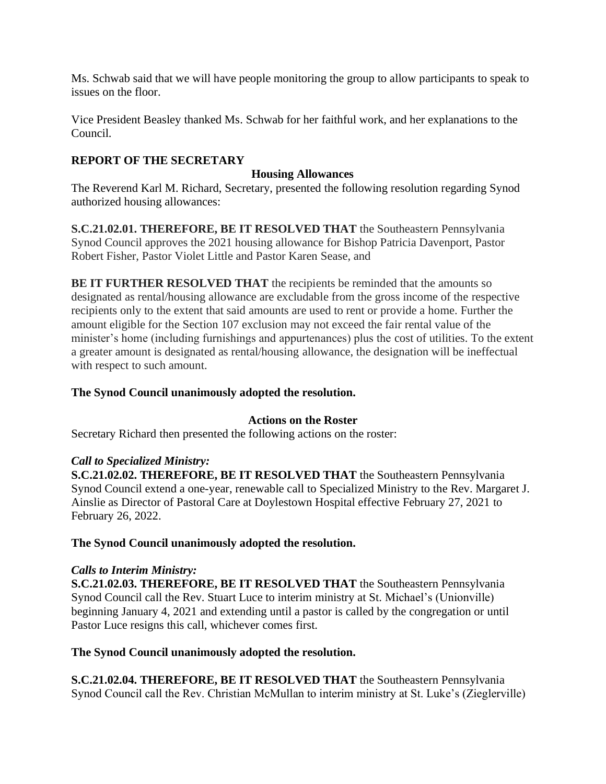Ms. Schwab said that we will have people monitoring the group to allow participants to speak to issues on the floor.

Vice President Beasley thanked Ms. Schwab for her faithful work, and her explanations to the Council.

# **REPORT OF THE SECRETARY**

## **Housing Allowances**

The Reverend Karl M. Richard, Secretary, presented the following resolution regarding Synod authorized housing allowances:

**S.C.21.02.01. THEREFORE, BE IT RESOLVED THAT** the Southeastern Pennsylvania Synod Council approves the 2021 housing allowance for Bishop Patricia Davenport, Pastor Robert Fisher, Pastor Violet Little and Pastor Karen Sease, and

**BE IT FURTHER RESOLVED THAT** the recipients be reminded that the amounts so designated as rental/housing allowance are excludable from the gross income of the respective recipients only to the extent that said amounts are used to rent or provide a home. Further the amount eligible for the Section 107 exclusion may not exceed the fair rental value of the minister's home (including furnishings and appurtenances) plus the cost of utilities. To the extent a greater amount is designated as rental/housing allowance, the designation will be ineffectual with respect to such amount.

## **The Synod Council unanimously adopted the resolution.**

## **Actions on the Roster**

Secretary Richard then presented the following actions on the roster:

## *Call to Specialized Ministry:*

**S.C.21.02.02. THEREFORE, BE IT RESOLVED THAT** the Southeastern Pennsylvania Synod Council extend a one-year, renewable call to Specialized Ministry to the Rev. Margaret J. Ainslie as Director of Pastoral Care at Doylestown Hospital effective February 27, 2021 to February 26, 2022.

## **The Synod Council unanimously adopted the resolution.**

## *Calls to Interim Ministry:*

**S.C.21.02.03. THEREFORE, BE IT RESOLVED THAT** the Southeastern Pennsylvania Synod Council call the Rev. Stuart Luce to interim ministry at St. Michael's (Unionville) beginning January 4, 2021 and extending until a pastor is called by the congregation or until Pastor Luce resigns this call, whichever comes first.

## **The Synod Council unanimously adopted the resolution.**

**S.C.21.02.04. THEREFORE, BE IT RESOLVED THAT** the Southeastern Pennsylvania Synod Council call the Rev. Christian McMullan to interim ministry at St. Luke's (Zieglerville)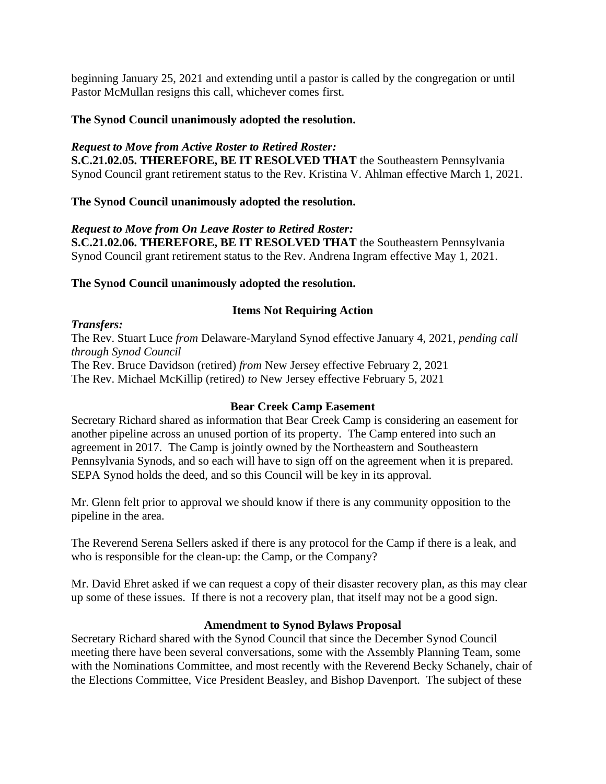beginning January 25, 2021 and extending until a pastor is called by the congregation or until Pastor McMullan resigns this call, whichever comes first.

## **The Synod Council unanimously adopted the resolution.**

## *Request to Move from Active Roster to Retired Roster:*

**S.C.21.02.05. THEREFORE, BE IT RESOLVED THAT** the Southeastern Pennsylvania Synod Council grant retirement status to the Rev. Kristina V. Ahlman effective March 1, 2021.

## **The Synod Council unanimously adopted the resolution.**

## *Request to Move from On Leave Roster to Retired Roster:*

**S.C.21.02.06. THEREFORE, BE IT RESOLVED THAT** the Southeastern Pennsylvania Synod Council grant retirement status to the Rev. Andrena Ingram effective May 1, 2021.

## **The Synod Council unanimously adopted the resolution.**

## **Items Not Requiring Action**

*Transfers:* The Rev. Stuart Luce *from* Delaware-Maryland Synod effective January 4, 2021, *pending call through Synod Council* The Rev. Bruce Davidson (retired) *from* New Jersey effective February 2, 2021 The Rev. Michael McKillip (retired) *to* New Jersey effective February 5, 2021

## **Bear Creek Camp Easement**

Secretary Richard shared as information that Bear Creek Camp is considering an easement for another pipeline across an unused portion of its property. The Camp entered into such an agreement in 2017. The Camp is jointly owned by the Northeastern and Southeastern Pennsylvania Synods, and so each will have to sign off on the agreement when it is prepared. SEPA Synod holds the deed, and so this Council will be key in its approval.

Mr. Glenn felt prior to approval we should know if there is any community opposition to the pipeline in the area.

The Reverend Serena Sellers asked if there is any protocol for the Camp if there is a leak, and who is responsible for the clean-up: the Camp, or the Company?

Mr. David Ehret asked if we can request a copy of their disaster recovery plan, as this may clear up some of these issues. If there is not a recovery plan, that itself may not be a good sign.

## **Amendment to Synod Bylaws Proposal**

Secretary Richard shared with the Synod Council that since the December Synod Council meeting there have been several conversations, some with the Assembly Planning Team, some with the Nominations Committee, and most recently with the Reverend Becky Schanely, chair of the Elections Committee, Vice President Beasley, and Bishop Davenport. The subject of these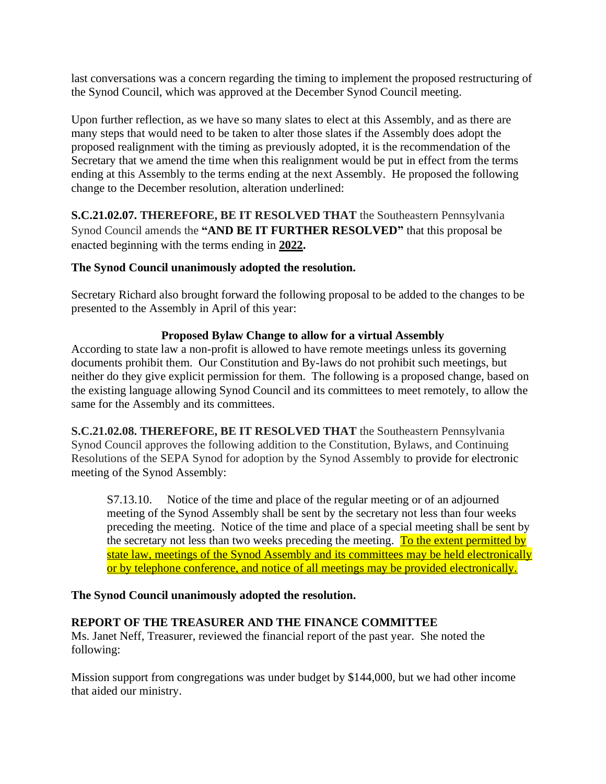last conversations was a concern regarding the timing to implement the proposed restructuring of the Synod Council, which was approved at the December Synod Council meeting.

Upon further reflection, as we have so many slates to elect at this Assembly, and as there are many steps that would need to be taken to alter those slates if the Assembly does adopt the proposed realignment with the timing as previously adopted, it is the recommendation of the Secretary that we amend the time when this realignment would be put in effect from the terms ending at this Assembly to the terms ending at the next Assembly. He proposed the following change to the December resolution, alteration underlined:

**S.C.21.02.07. THEREFORE, BE IT RESOLVED THAT** the Southeastern Pennsylvania Synod Council amends the **"AND BE IT FURTHER RESOLVED"** that this proposal be enacted beginning with the terms ending in **2022.**

## **The Synod Council unanimously adopted the resolution.**

Secretary Richard also brought forward the following proposal to be added to the changes to be presented to the Assembly in April of this year:

## **Proposed Bylaw Change to allow for a virtual Assembly**

According to state law a non-profit is allowed to have remote meetings unless its governing documents prohibit them. Our Constitution and By-laws do not prohibit such meetings, but neither do they give explicit permission for them. The following is a proposed change, based on the existing language allowing Synod Council and its committees to meet remotely, to allow the same for the Assembly and its committees.

**S.C.21.02.08. THEREFORE, BE IT RESOLVED THAT** the Southeastern Pennsylvania Synod Council approves the following addition to the Constitution, Bylaws, and Continuing Resolutions of the SEPA Synod for adoption by the Synod Assembly to provide for electronic meeting of the Synod Assembly:

S7.13.10. Notice of the time and place of the regular meeting or of an adjourned meeting of the Synod Assembly shall be sent by the secretary not less than four weeks preceding the meeting. Notice of the time and place of a special meeting shall be sent by the secretary not less than two weeks preceding the meeting. To the extent permitted by state law, meetings of the Synod Assembly and its committees may be held electronically or by telephone conference, and notice of all meetings may be provided electronically.

## **The Synod Council unanimously adopted the resolution.**

# **REPORT OF THE TREASURER AND THE FINANCE COMMITTEE**

Ms. Janet Neff, Treasurer, reviewed the financial report of the past year. She noted the following:

Mission support from congregations was under budget by \$144,000, but we had other income that aided our ministry.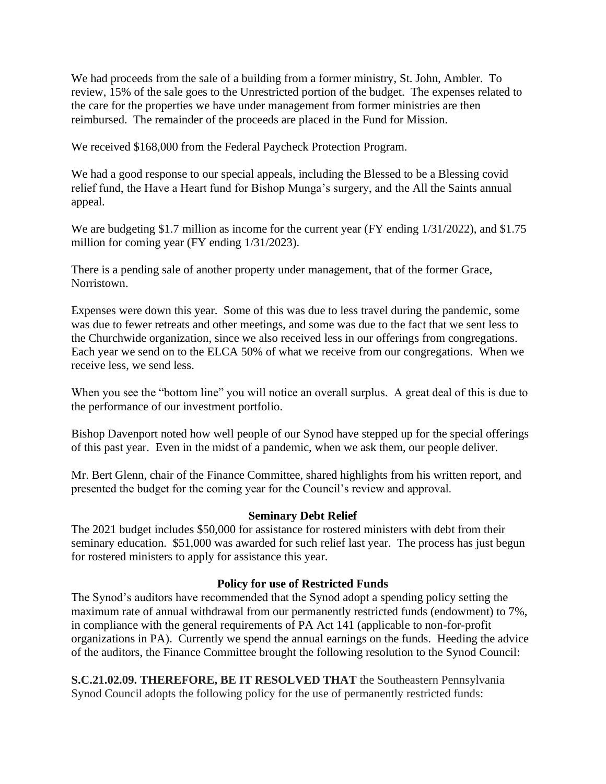We had proceeds from the sale of a building from a former ministry, St. John, Ambler. To review, 15% of the sale goes to the Unrestricted portion of the budget. The expenses related to the care for the properties we have under management from former ministries are then reimbursed. The remainder of the proceeds are placed in the Fund for Mission.

We received \$168,000 from the Federal Paycheck Protection Program.

We had a good response to our special appeals, including the Blessed to be a Blessing covid relief fund, the Have a Heart fund for Bishop Munga's surgery, and the All the Saints annual appeal.

We are budgeting \$1.7 million as income for the current year (FY ending  $1/31/2022$ ), and \$1.75 million for coming year (FY ending 1/31/2023).

There is a pending sale of another property under management, that of the former Grace, Norristown.

Expenses were down this year. Some of this was due to less travel during the pandemic, some was due to fewer retreats and other meetings, and some was due to the fact that we sent less to the Churchwide organization, since we also received less in our offerings from congregations. Each year we send on to the ELCA 50% of what we receive from our congregations. When we receive less, we send less.

When you see the "bottom line" you will notice an overall surplus. A great deal of this is due to the performance of our investment portfolio.

Bishop Davenport noted how well people of our Synod have stepped up for the special offerings of this past year. Even in the midst of a pandemic, when we ask them, our people deliver.

Mr. Bert Glenn, chair of the Finance Committee, shared highlights from his written report, and presented the budget for the coming year for the Council's review and approval.

## **Seminary Debt Relief**

The 2021 budget includes \$50,000 for assistance for rostered ministers with debt from their seminary education. \$51,000 was awarded for such relief last year. The process has just begun for rostered ministers to apply for assistance this year.

## **Policy for use of Restricted Funds**

The Synod's auditors have recommended that the Synod adopt a spending policy setting the maximum rate of annual withdrawal from our permanently restricted funds (endowment) to 7%, in compliance with the general requirements of PA Act 141 (applicable to non-for-profit organizations in PA). Currently we spend the annual earnings on the funds. Heeding the advice of the auditors, the Finance Committee brought the following resolution to the Synod Council:

**S.C.21.02.09. THEREFORE, BE IT RESOLVED THAT** the Southeastern Pennsylvania Synod Council adopts the following policy for the use of permanently restricted funds: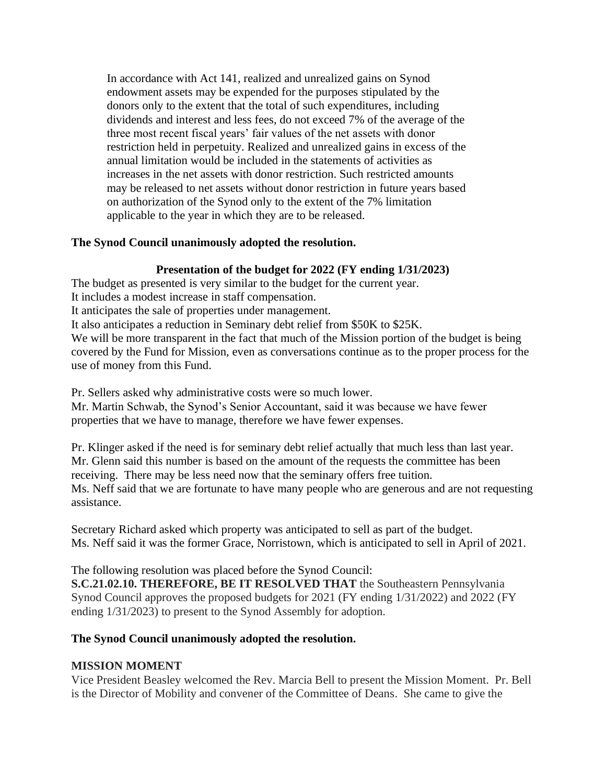In accordance with Act 141, realized and unrealized gains on Synod endowment assets may be expended for the purposes stipulated by the donors only to the extent that the total of such expenditures, including dividends and interest and less fees, do not exceed 7% of the average of the three most recent fiscal years' fair values of the net assets with donor restriction held in perpetuity. Realized and unrealized gains in excess of the annual limitation would be included in the statements of activities as increases in the net assets with donor restriction. Such restricted amounts may be released to net assets without donor restriction in future years based on authorization of the Synod only to the extent of the 7% limitation applicable to the year in which they are to be released.

## **The Synod Council unanimously adopted the resolution.**

# **Presentation of the budget for 2022 (FY ending 1/31/2023)**

The budget as presented is very similar to the budget for the current year. It includes a modest increase in staff compensation. It anticipates the sale of properties under management. It also anticipates a reduction in Seminary debt relief from \$50K to \$25K. We will be more transparent in the fact that much of the Mission portion of the budget is being covered by the Fund for Mission, even as conversations continue as to the proper process for the use of money from this Fund.

Pr. Sellers asked why administrative costs were so much lower.

Mr. Martin Schwab, the Synod's Senior Accountant, said it was because we have fewer properties that we have to manage, therefore we have fewer expenses.

Pr. Klinger asked if the need is for seminary debt relief actually that much less than last year. Mr. Glenn said this number is based on the amount of the requests the committee has been receiving. There may be less need now that the seminary offers free tuition. Ms. Neff said that we are fortunate to have many people who are generous and are not requesting assistance.

Secretary Richard asked which property was anticipated to sell as part of the budget. Ms. Neff said it was the former Grace, Norristown, which is anticipated to sell in April of 2021.

The following resolution was placed before the Synod Council:

**S.C.21.02.10. THEREFORE, BE IT RESOLVED THAT** the Southeastern Pennsylvania Synod Council approves the proposed budgets for 2021 (FY ending 1/31/2022) and 2022 (FY ending 1/31/2023) to present to the Synod Assembly for adoption.

## **The Synod Council unanimously adopted the resolution.**

## **MISSION MOMENT**

Vice President Beasley welcomed the Rev. Marcia Bell to present the Mission Moment. Pr. Bell is the Director of Mobility and convener of the Committee of Deans. She came to give the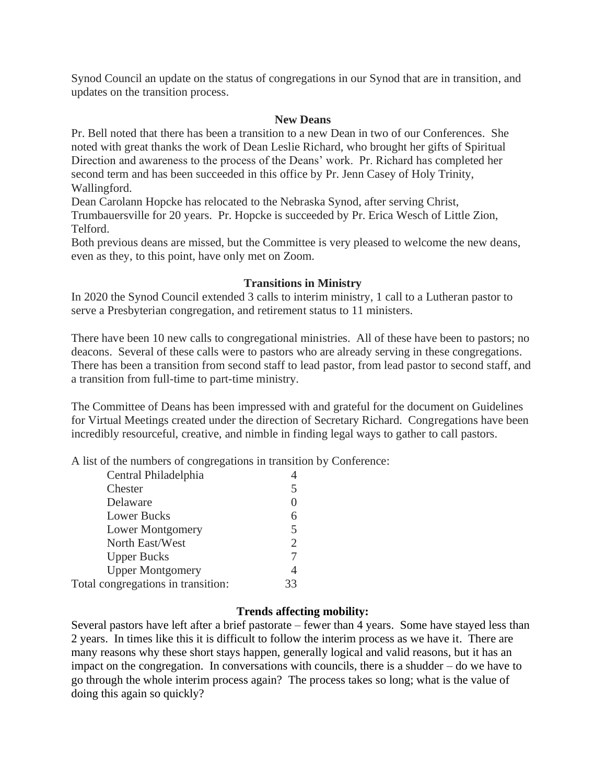Synod Council an update on the status of congregations in our Synod that are in transition, and updates on the transition process.

#### **New Deans**

Pr. Bell noted that there has been a transition to a new Dean in two of our Conferences. She noted with great thanks the work of Dean Leslie Richard, who brought her gifts of Spiritual Direction and awareness to the process of the Deans' work. Pr. Richard has completed her second term and has been succeeded in this office by Pr. Jenn Casey of Holy Trinity, Wallingford.

Dean Carolann Hopcke has relocated to the Nebraska Synod, after serving Christ,

Trumbauersville for 20 years. Pr. Hopcke is succeeded by Pr. Erica Wesch of Little Zion, Telford.

Both previous deans are missed, but the Committee is very pleased to welcome the new deans, even as they, to this point, have only met on Zoom.

## **Transitions in Ministry**

In 2020 the Synod Council extended 3 calls to interim ministry, 1 call to a Lutheran pastor to serve a Presbyterian congregation, and retirement status to 11 ministers.

There have been 10 new calls to congregational ministries. All of these have been to pastors; no deacons. Several of these calls were to pastors who are already serving in these congregations. There has been a transition from second staff to lead pastor, from lead pastor to second staff, and a transition from full-time to part-time ministry.

The Committee of Deans has been impressed with and grateful for the document on Guidelines for Virtual Meetings created under the direction of Secretary Richard. Congregations have been incredibly resourceful, creative, and nimble in finding legal ways to gather to call pastors.

A list of the numbers of congregations in transition by Conference:

| Central Philadelphia               |                |
|------------------------------------|----------------|
| Chester                            | 5              |
| Delaware                           |                |
| <b>Lower Bucks</b>                 | 6              |
| <b>Lower Montgomery</b>            | 5              |
| North East/West                    | $\overline{2}$ |
| <b>Upper Bucks</b>                 |                |
| <b>Upper Montgomery</b>            | 4              |
| Total congregations in transition: | 33             |

## **Trends affecting mobility:**

Several pastors have left after a brief pastorate – fewer than 4 years. Some have stayed less than 2 years. In times like this it is difficult to follow the interim process as we have it. There are many reasons why these short stays happen, generally logical and valid reasons, but it has an impact on the congregation. In conversations with councils, there is a shudder – do we have to go through the whole interim process again? The process takes so long; what is the value of doing this again so quickly?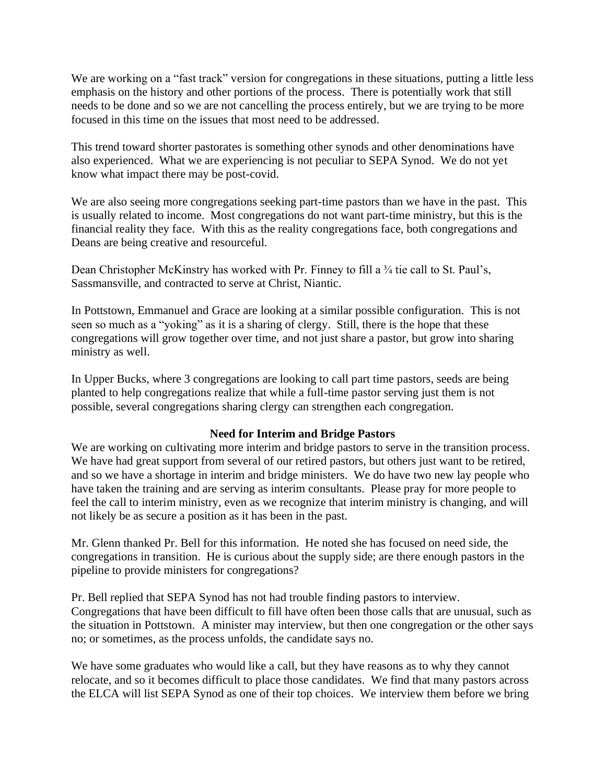We are working on a "fast track" version for congregations in these situations, putting a little less emphasis on the history and other portions of the process. There is potentially work that still needs to be done and so we are not cancelling the process entirely, but we are trying to be more focused in this time on the issues that most need to be addressed.

This trend toward shorter pastorates is something other synods and other denominations have also experienced. What we are experiencing is not peculiar to SEPA Synod. We do not yet know what impact there may be post-covid.

We are also seeing more congregations seeking part-time pastors than we have in the past. This is usually related to income. Most congregations do not want part-time ministry, but this is the financial reality they face. With this as the reality congregations face, both congregations and Deans are being creative and resourceful.

Dean Christopher McKinstry has worked with Pr. Finney to fill a <sup>3</sup>/4 tie call to St. Paul's, Sassmansville, and contracted to serve at Christ, Niantic.

In Pottstown, Emmanuel and Grace are looking at a similar possible configuration. This is not seen so much as a "yoking" as it is a sharing of clergy. Still, there is the hope that these congregations will grow together over time, and not just share a pastor, but grow into sharing ministry as well.

In Upper Bucks, where 3 congregations are looking to call part time pastors, seeds are being planted to help congregations realize that while a full-time pastor serving just them is not possible, several congregations sharing clergy can strengthen each congregation.

## **Need for Interim and Bridge Pastors**

We are working on cultivating more interim and bridge pastors to serve in the transition process. We have had great support from several of our retired pastors, but others just want to be retired, and so we have a shortage in interim and bridge ministers. We do have two new lay people who have taken the training and are serving as interim consultants. Please pray for more people to feel the call to interim ministry, even as we recognize that interim ministry is changing, and will not likely be as secure a position as it has been in the past.

Mr. Glenn thanked Pr. Bell for this information. He noted she has focused on need side, the congregations in transition. He is curious about the supply side; are there enough pastors in the pipeline to provide ministers for congregations?

Pr. Bell replied that SEPA Synod has not had trouble finding pastors to interview. Congregations that have been difficult to fill have often been those calls that are unusual, such as the situation in Pottstown. A minister may interview, but then one congregation or the other says no; or sometimes, as the process unfolds, the candidate says no.

We have some graduates who would like a call, but they have reasons as to why they cannot relocate, and so it becomes difficult to place those candidates. We find that many pastors across the ELCA will list SEPA Synod as one of their top choices. We interview them before we bring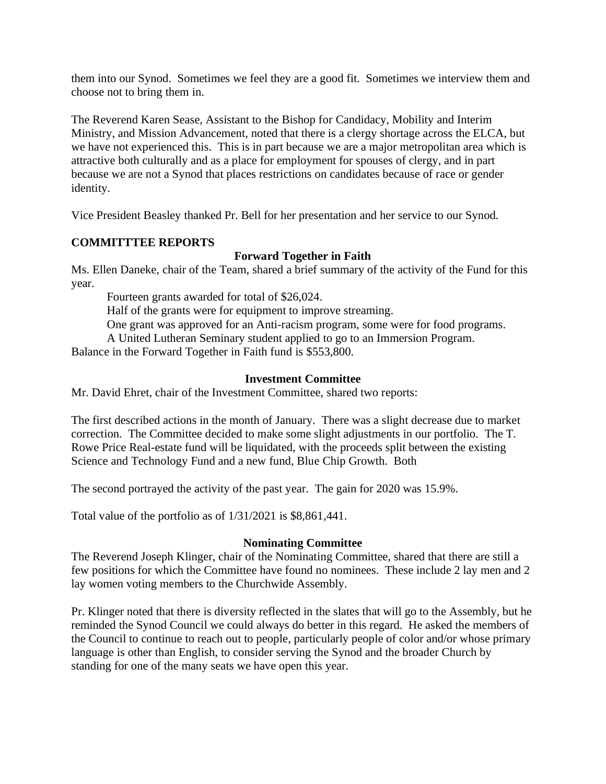them into our Synod. Sometimes we feel they are a good fit. Sometimes we interview them and choose not to bring them in.

The Reverend Karen Sease, Assistant to the Bishop for Candidacy, Mobility and Interim Ministry, and Mission Advancement, noted that there is a clergy shortage across the ELCA, but we have not experienced this. This is in part because we are a major metropolitan area which is attractive both culturally and as a place for employment for spouses of clergy, and in part because we are not a Synod that places restrictions on candidates because of race or gender identity.

Vice President Beasley thanked Pr. Bell for her presentation and her service to our Synod.

# **COMMITTTEE REPORTS**

# **Forward Together in Faith**

Ms. Ellen Daneke, chair of the Team, shared a brief summary of the activity of the Fund for this year.

Fourteen grants awarded for total of \$26,024.

Half of the grants were for equipment to improve streaming.

One grant was approved for an Anti-racism program, some were for food programs.

A United Lutheran Seminary student applied to go to an Immersion Program.

Balance in the Forward Together in Faith fund is \$553,800.

## **Investment Committee**

Mr. David Ehret, chair of the Investment Committee, shared two reports:

The first described actions in the month of January. There was a slight decrease due to market correction. The Committee decided to make some slight adjustments in our portfolio. The T. Rowe Price Real-estate fund will be liquidated, with the proceeds split between the existing Science and Technology Fund and a new fund, Blue Chip Growth. Both

The second portrayed the activity of the past year. The gain for 2020 was 15.9%.

Total value of the portfolio as of 1/31/2021 is \$8,861,441.

## **Nominating Committee**

The Reverend Joseph Klinger, chair of the Nominating Committee, shared that there are still a few positions for which the Committee have found no nominees. These include 2 lay men and 2 lay women voting members to the Churchwide Assembly.

Pr. Klinger noted that there is diversity reflected in the slates that will go to the Assembly, but he reminded the Synod Council we could always do better in this regard. He asked the members of the Council to continue to reach out to people, particularly people of color and/or whose primary language is other than English, to consider serving the Synod and the broader Church by standing for one of the many seats we have open this year.